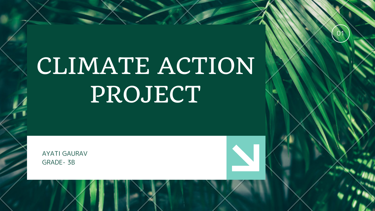

# CLIMATE ACTION PROJECT

AYATI GAURAV GRADE- 3B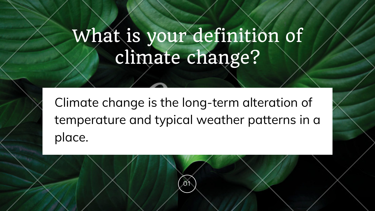# What is your definition of climate change?

Climate change is the long-term alteration of temperature and typical weather patterns in a place.

01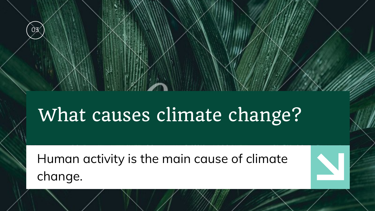## What causes climate change?

Human activity is the main cause of climate change.



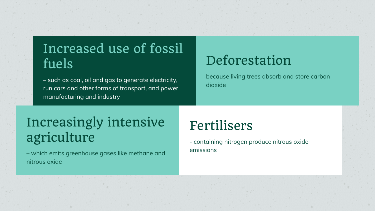– such as coal, oil and gas to generate electricity, run cars and other forms of transport, and power manufacturing and industry

## Increased use of fossil fuels

- containing nitrogen produce nitrous oxide

emissions

Fertilisers

because living trees absorb and store carbon

dioxide

## Deforestation

– which emits greenhouse gases like methane and nitrous oxide

## Increasingly intensive agriculture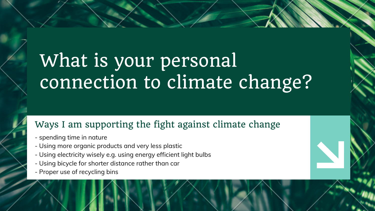## What is your personal connection to climate change?

- spending time in nature
- Using more organic products and very less plastic
- Using electricity wisely e.g. using energy efficient light bulbs
- Using bicycle for shorter distance rather than car
- Proper use of recycling bins



### Ways I am supporting the fight against climate change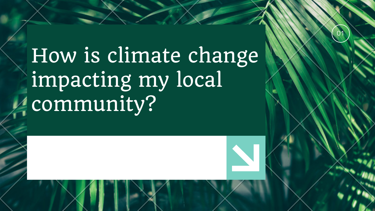

How is climate change impacting my local community?

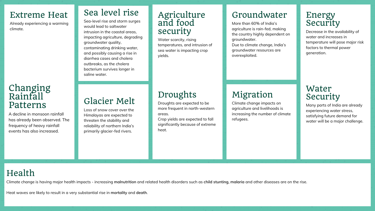#### Extreme Heat

Already experiencing a warming climate.

#### Changing Rainfall Patterns

A decline in monsoon rainfall has already been observed. The frequency of heavy rainfall events has also increased.

#### Sea level rise

Sea-level rise and storm surges would lead to saltwater intrusion in the coastal areas, impacting agriculture, degrading groundwater quality, contaminating drinking water, and possibly causing a rise in diarrhea cases and cholera outbreaks, as the cholera bacterium survives longer in saline water.

#### Glacier Melt

Loss of snow cover over the Himalayas are expected to threaten the stability and reliability of northern India's primarily glacier-fed rivers.

#### Agriculture and food security

Water scarcity, rising temperatures, and intrusion of sea water is impacting crop yields.

### Droughts

Droughts are expected to be more frequent in north-western areas.

Crop yields are expected to fall significantly because of extreme heat.

#### Energy Security

Decrease in the availability of water and increases in temperature will pose major risk factors to thermal power generation.

#### Water Security

Many parts of India are already experiencing water stress, satisfying future demand for water will be a major challenge.

### Groundwater

More than 60% of India's agriculture is rain-fed, making the country highly dependent on groundwater.

Due to climate change, India's groundwater resources are overexploited.

### Migration

Climate change impacts on agriculture and livelihoods is increasing the number of climate refugees.

#### Health

Climate change is having major health impacts - increasing **malnutrition** and related health disorders such as **child stunting, malaria** and other diseases are on the rise.

Heat waves are likely to result in a very substantial rise in **mortality** and **death**.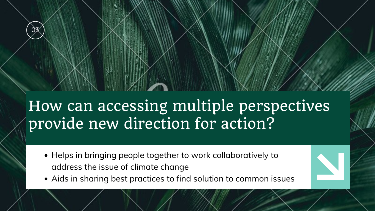## How can accessing multiple perspectives provide new direction for action?

- Helps in bringing people together to work collaboratively to address the issue of climate change
- Aids in sharing best practices to find solution to common issues